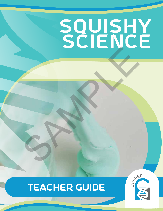# SQUISHY SCIENCE SAMPLE

# teacher guide



**ACTIVITY 1 | SQUISHY SCIENCE | 1**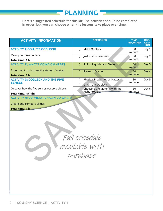**Here's a suggested schedule for this kit! The activities should be completed in order, but you can choose when the lessons take place over time.**

**PLANNING** 

| <b>ACTIVITY INFORMATION</b>                                                                                                                | <b>SECTION(S)</b>                                                   | <b>TIME</b><br><b>REQUIRED</b> | DAY/<br>LES-<br><b>SON</b> |
|--------------------------------------------------------------------------------------------------------------------------------------------|---------------------------------------------------------------------|--------------------------------|----------------------------|
| <b>ACTIVITY I: OOH, IT'S OOBLECK!</b>                                                                                                      | Make Oobleck<br>П                                                   | 30<br>minutes                  | Day 1                      |
| Make your own oobleck.<br>Total time: 1 h                                                                                                  | Just a Little Research<br>$\Box$                                    | 30<br>minutes                  | Day 2                      |
| <b>ACTIVITY 2: WHAT'S GOING ON HERE?</b>                                                                                                   | Solids, Liquids, and Gases<br>П                                     | 30<br>minutes                  | Day 3                      |
| Experiment to discover the states of matter.<br>Total time: 1 h                                                                            | <b>States of Matter</b><br>П                                        | 30<br>minutes                  | Day 4                      |
| <b>ACTIVITY 3: OOBLECK AND THE FIVE</b><br><b>SENSES</b>                                                                                   | Physical Properties of Matter<br>П<br><b>Grab Your Oobleck</b><br>П | 30<br>minutes                  | Day 5                      |
| Discover how the five senses observe objects.<br><b>Total time: 45 min</b>                                                                 | Choosing the Material with the<br>Д<br><b>Right Properties</b>      | 30<br>minutes                  | Day 6                      |
| <b>ACTIVITY 4: CORNSTARCH CAN DO WHAT?</b><br>Create and compare slimes.<br>Total time: 1 h<br>Full schedule<br>available with<br>purchase |                                                                     |                                |                            |

**6+ hours**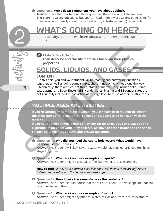#### **Question 2: Write down 3 questions you have about oobleck.**

**Answer:** Have them write down three questions they have about the material. There are no wrong questions, but you can lead them toward writing good scientific questions, which are 1) about the natural world, 2) testable, and 3) repeatable.

# **In this activity, students will learn about what makes oobleck so unique.**

## *LEARNING GOALS:*

**I can describe and classify materials based on their physical properties.**

# Solids, Liquids, and Gases

### **CONTENT**

3

• In this part, you and your student will be reading and answering questions together, as well as doing some simple, short hands-on activities along the way.

• Technically, there are five, not three, states of matter. They include solid, liquid, gas, plasma, and Bose-Einstein (BE) condensates. Plasma and BE condensates are not generally included in instruction at this age level because of their relative rarity.

# Multiple ages and abilities:

**If you're working with multiple students, you can have each student do one of the three parts of this section. This allows all students to be hands-on with the material. EXERCT AND SET AND SET AND SET AND SET AND SET AND SET AND SET AND SET AND SET AND SONTENT CONTENT CONTENT CHANGE CONTENT CHANGE AND SET AND SET AND SET AND CONTENT CHANGE AND LOT USE A CONTENT CHANGE AND A SET AND A SET** 

**If you have a student who doesn't enjoy certain textures, you can always do the experiments for them while they observe. Or, have another student do the handson portion, while they observe and answer questions.**

**Question 1a: Why did you need the cup to hold water? What would have happened without the cup?**

**Answer:** The student will likely say the water would have spilled or it wouldn't have stayed together.

**Question 1b: What are two more examples of liquids?**

**Answer:** The student might say soda, coffee, bathwater, etc. as examples.

How to Help: If they list a pourable solid (like sand) ask them if there are differences *between those solids and the liquids mentioned so far.*

**Question 2a: Does it take the same shape as the container? Answer:** The student should notice that the stir stick keeps its own shape and doesn't take the shape of the cup.

**Question 2b: What are two more examples of solids? Answer:** The student might say phones, plates, televisions, trees, etc. as examples.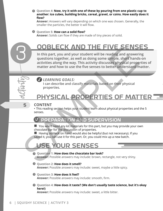**Question 4: Now, try it with one of these by pouring from one plastic cup to another: ice cubes, building bricks, cereal, gravel, or coins. How easily does it**  flow?

**Answer:** Answers will vary depending on which one was chosen. Generally, the smaller the particles, the better it will flow.

#### $Q$  Question 5: **How can a solid flow?**

**Answer:** Solids can flow if they are made of tiny pieces of solid.

# Oobleck and the Five SEnses

**In this part, you and your student will be reading and answering questions together, as well as doing some simple, short hands-on activities along the way. This activity discusses physical properties of**  matter and how to use the five senses to better understand matter. THE FIVE SENSIGN IN A NUTHE FIVE SENSIGN IN THE READ IN THE READ IS THE READ OF THE READ OF THE SURFACT AS WELL AS WELL AS WELL AS THE SURFACT AND SUPERVISION IN THE CONTENT THAT THE SURFACT OF THE SURFACT OF THE SURFACT O



*LEARNING GOALS:* 

**I can describe and classify materials based on their physical properties.**

# Physical Properties of Matter

#### **CONTENT**

3

5

• This reading section helps your student learn about physical properties and the 5 senses.

# **E PREPARATION AND SUPERVISION**

 $\blacksquare$  You won't need any kit materials for this part, but you may provide your own chocolate bar for the discussion of properties.

 $\blacksquare$  Having oobleck on hand would also be helpful (but not necessary). If you saved it, you can use it for this part. Or, you could mix up a new batch.

# USE YOUR SENSES

#### **Q** Question 1: How does the chocolate bar look?

**Answer:** Possible answers may include: brown, rectangle, not very shiny.

#### **<sup>** $\bullet$ **</sup>** Question 2: How does it smell?

**Answer:** Possible answers may include: sweet, maybe a little spicy.

#### **Question 3: How does it feel?**

Answer: Possible answers may include: smooth, firm.

**Question 4: How does it taste? (We don't usually taste science, but it's okay here!)** 

**Answer:** Possible answers may include: sweet, a little bitter.